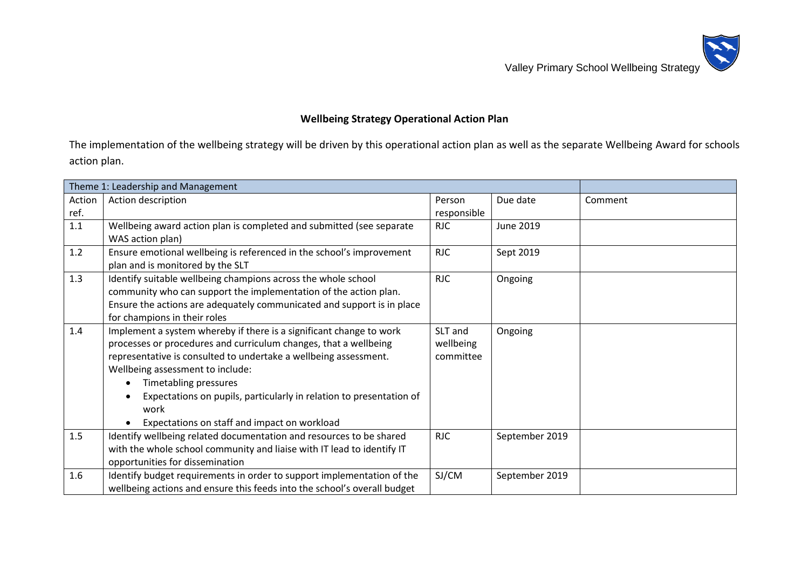Valley Primary School Wellbeing Strategy



## **Wellbeing Strategy Operational Action Plan**

The implementation of the wellbeing strategy will be driven by this operational action plan as well as the separate Wellbeing Award for schools action plan.

|        | Theme 1: Leadership and Management                                       |             |                  |         |
|--------|--------------------------------------------------------------------------|-------------|------------------|---------|
| Action | Action description                                                       | Person      | Due date         | Comment |
| ref.   |                                                                          | responsible |                  |         |
| 1.1    | Wellbeing award action plan is completed and submitted (see separate     | <b>RJC</b>  | <b>June 2019</b> |         |
|        | WAS action plan)                                                         |             |                  |         |
| 1.2    | Ensure emotional wellbeing is referenced in the school's improvement     | <b>RJC</b>  | Sept 2019        |         |
|        | plan and is monitored by the SLT                                         |             |                  |         |
| 1.3    | Identify suitable wellbeing champions across the whole school            | <b>RJC</b>  | Ongoing          |         |
|        | community who can support the implementation of the action plan.         |             |                  |         |
|        | Ensure the actions are adequately communicated and support is in place   |             |                  |         |
|        | for champions in their roles                                             |             |                  |         |
| 1.4    | Implement a system whereby if there is a significant change to work      | SLT and     | Ongoing          |         |
|        | processes or procedures and curriculum changes, that a wellbeing         | wellbeing   |                  |         |
|        | representative is consulted to undertake a wellbeing assessment.         | committee   |                  |         |
|        | Wellbeing assessment to include:                                         |             |                  |         |
|        | Timetabling pressures                                                    |             |                  |         |
|        | Expectations on pupils, particularly in relation to presentation of      |             |                  |         |
|        | work                                                                     |             |                  |         |
|        | Expectations on staff and impact on workload                             |             |                  |         |
| 1.5    | Identify wellbeing related documentation and resources to be shared      | <b>RJC</b>  | September 2019   |         |
|        | with the whole school community and liaise with IT lead to identify IT   |             |                  |         |
|        | opportunities for dissemination                                          |             |                  |         |
| 1.6    | Identify budget requirements in order to support implementation of the   | SJ/CM       | September 2019   |         |
|        | wellbeing actions and ensure this feeds into the school's overall budget |             |                  |         |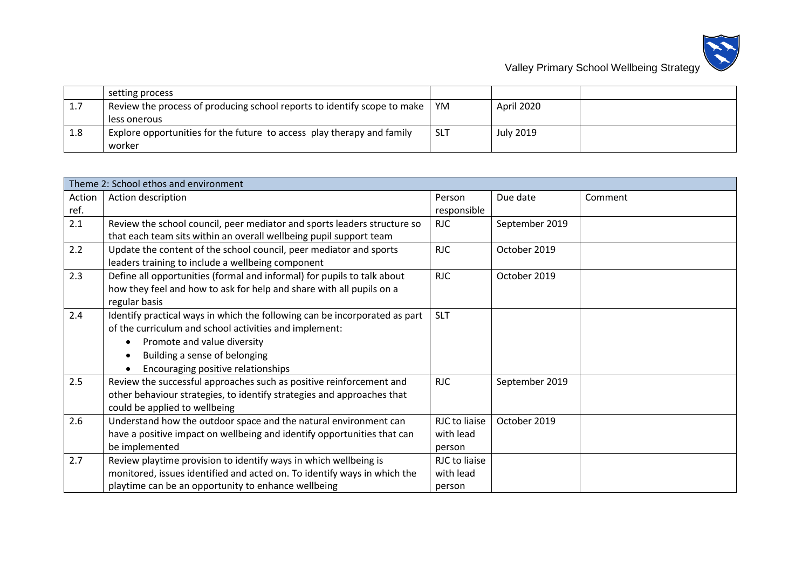

|     | setting process                                                                  |            |                  |  |
|-----|----------------------------------------------------------------------------------|------------|------------------|--|
| 1.7 | Review the process of producing school reports to identify scope to make $\vert$ | YM         | April 2020       |  |
|     | less onerous                                                                     |            |                  |  |
| 1.8 | Explore opportunities for the future to access play therapy and family           | <b>SLT</b> | <b>July 2019</b> |  |
|     | worker                                                                           |            |                  |  |

|        | Theme 2: School ethos and environment                                      |               |                |         |
|--------|----------------------------------------------------------------------------|---------------|----------------|---------|
| Action | Action description                                                         | Person        | Due date       | Comment |
| ref.   |                                                                            | responsible   |                |         |
| 2.1    | Review the school council, peer mediator and sports leaders structure so   | <b>RJC</b>    | September 2019 |         |
|        | that each team sits within an overall wellbeing pupil support team         |               |                |         |
| 2.2    | Update the content of the school council, peer mediator and sports         | <b>RJC</b>    | October 2019   |         |
|        | leaders training to include a wellbeing component                          |               |                |         |
| 2.3    | Define all opportunities (formal and informal) for pupils to talk about    | <b>RJC</b>    | October 2019   |         |
|        | how they feel and how to ask for help and share with all pupils on a       |               |                |         |
|        | regular basis                                                              |               |                |         |
| 2.4    | Identify practical ways in which the following can be incorporated as part | <b>SLT</b>    |                |         |
|        | of the curriculum and school activities and implement:                     |               |                |         |
|        | Promote and value diversity                                                |               |                |         |
|        | Building a sense of belonging                                              |               |                |         |
|        | Encouraging positive relationships                                         |               |                |         |
| 2.5    | Review the successful approaches such as positive reinforcement and        | <b>RJC</b>    | September 2019 |         |
|        | other behaviour strategies, to identify strategies and approaches that     |               |                |         |
|        | could be applied to wellbeing                                              |               |                |         |
| 2.6    | Understand how the outdoor space and the natural environment can           | RJC to liaise | October 2019   |         |
|        | have a positive impact on wellbeing and identify opportunities that can    | with lead     |                |         |
|        | be implemented                                                             | person        |                |         |
| 2.7    | Review playtime provision to identify ways in which wellbeing is           | RJC to liaise |                |         |
|        | monitored, issues identified and acted on. To identify ways in which the   | with lead     |                |         |
|        | playtime can be an opportunity to enhance wellbeing                        | person        |                |         |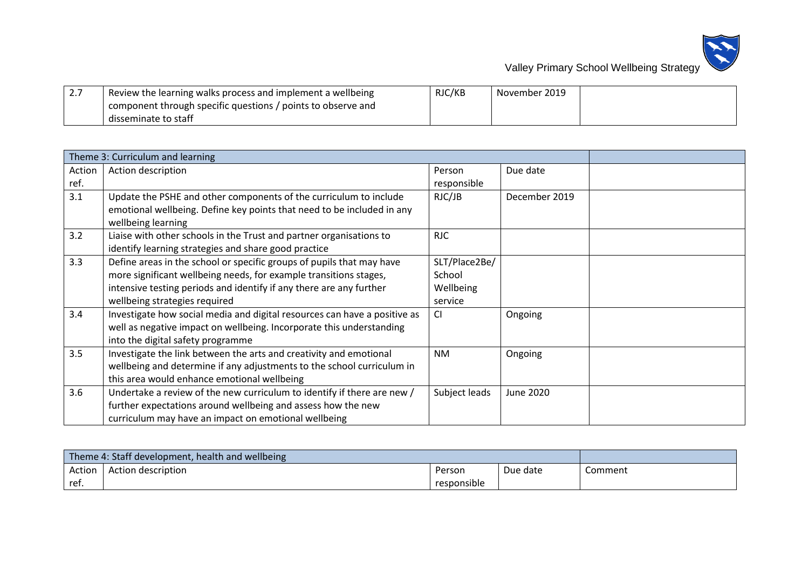

| $\sqrt{2.7}$ | <sup>1</sup> Review the learning walks process and implement a wellbeing | RJC/KB | November 2019 |  |
|--------------|--------------------------------------------------------------------------|--------|---------------|--|
|              | component through specific questions / points to observe and             |        |               |  |
|              | disseminate to staff                                                     |        |               |  |

|        | Theme 3: Curriculum and learning                                                                                                                                                                                                                   |                                                 |               |  |
|--------|----------------------------------------------------------------------------------------------------------------------------------------------------------------------------------------------------------------------------------------------------|-------------------------------------------------|---------------|--|
| Action | Action description                                                                                                                                                                                                                                 | Person                                          | Due date      |  |
| ref.   |                                                                                                                                                                                                                                                    | responsible                                     |               |  |
| 3.1    | Update the PSHE and other components of the curriculum to include<br>emotional wellbeing. Define key points that need to be included in any<br>wellbeing learning                                                                                  | RJC/JB                                          | December 2019 |  |
| 3.2    | Liaise with other schools in the Trust and partner organisations to<br>identify learning strategies and share good practice                                                                                                                        | <b>RJC</b>                                      |               |  |
| 3.3    | Define areas in the school or specific groups of pupils that may have<br>more significant wellbeing needs, for example transitions stages,<br>intensive testing periods and identify if any there are any further<br>wellbeing strategies required | SLT/Place2Be/<br>School<br>Wellbeing<br>service |               |  |
| 3.4    | Investigate how social media and digital resources can have a positive as<br>well as negative impact on wellbeing. Incorporate this understanding<br>into the digital safety programme                                                             | CI                                              | Ongoing       |  |
| 3.5    | Investigate the link between the arts and creativity and emotional<br>wellbeing and determine if any adjustments to the school curriculum in<br>this area would enhance emotional wellbeing                                                        | <b>NM</b>                                       | Ongoing       |  |
| 3.6    | Undertake a review of the new curriculum to identify if there are new /<br>further expectations around wellbeing and assess how the new<br>curriculum may have an impact on emotional wellbeing                                                    | Subject leads                                   | June 2020     |  |

| Theme 4: Staff development, health and wellbeing |                    |             |          |         |
|--------------------------------------------------|--------------------|-------------|----------|---------|
| Action                                           | Action description | Person      | Due date | Comment |
| ref.                                             |                    | responsible |          |         |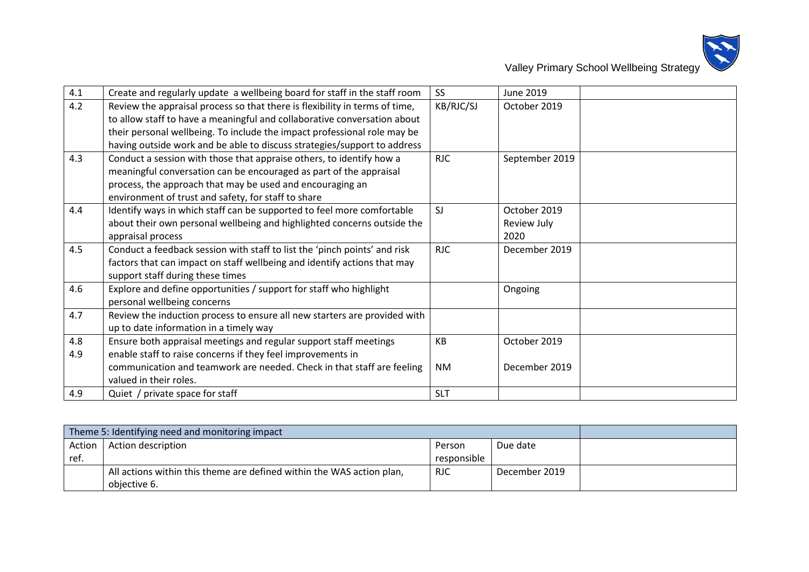

| 4.1 | Create and regularly update a wellbeing board for staff in the staff room   | SS <sub>1</sub> | <b>June 2019</b> |  |
|-----|-----------------------------------------------------------------------------|-----------------|------------------|--|
| 4.2 | Review the appraisal process so that there is flexibility in terms of time, | KB/RJC/SJ       | October 2019     |  |
|     | to allow staff to have a meaningful and collaborative conversation about    |                 |                  |  |
|     | their personal wellbeing. To include the impact professional role may be    |                 |                  |  |
|     | having outside work and be able to discuss strategies/support to address    |                 |                  |  |
| 4.3 | Conduct a session with those that appraise others, to identify how a        | <b>RJC</b>      | September 2019   |  |
|     | meaningful conversation can be encouraged as part of the appraisal          |                 |                  |  |
|     | process, the approach that may be used and encouraging an                   |                 |                  |  |
|     | environment of trust and safety, for staff to share                         |                 |                  |  |
| 4.4 | Identify ways in which staff can be supported to feel more comfortable      | SJ              | October 2019     |  |
|     | about their own personal wellbeing and highlighted concerns outside the     |                 | Review July      |  |
|     | appraisal process                                                           |                 | 2020             |  |
| 4.5 | Conduct a feedback session with staff to list the 'pinch points' and risk   | <b>RJC</b>      | December 2019    |  |
|     | factors that can impact on staff wellbeing and identify actions that may    |                 |                  |  |
|     | support staff during these times                                            |                 |                  |  |
| 4.6 | Explore and define opportunities / support for staff who highlight          |                 | Ongoing          |  |
|     | personal wellbeing concerns                                                 |                 |                  |  |
| 4.7 | Review the induction process to ensure all new starters are provided with   |                 |                  |  |
|     | up to date information in a timely way                                      |                 |                  |  |
| 4.8 | Ensure both appraisal meetings and regular support staff meetings           | KB              | October 2019     |  |
| 4.9 | enable staff to raise concerns if they feel improvements in                 |                 |                  |  |
|     | communication and teamwork are needed. Check in that staff are feeling      | <b>NM</b>       | December 2019    |  |
|     | valued in their roles.                                                      |                 |                  |  |
| 4.9 | Quiet / private space for staff                                             | <b>SLT</b>      |                  |  |

| Theme 5: Identifying need and monitoring impact |                                                                       |             |               |  |
|-------------------------------------------------|-----------------------------------------------------------------------|-------------|---------------|--|
| Action 1                                        | Action description                                                    | Person      | Due date      |  |
| ref.                                            |                                                                       | responsible |               |  |
|                                                 | All actions within this theme are defined within the WAS action plan, | <b>RJC</b>  | December 2019 |  |
|                                                 | objective 6.                                                          |             |               |  |